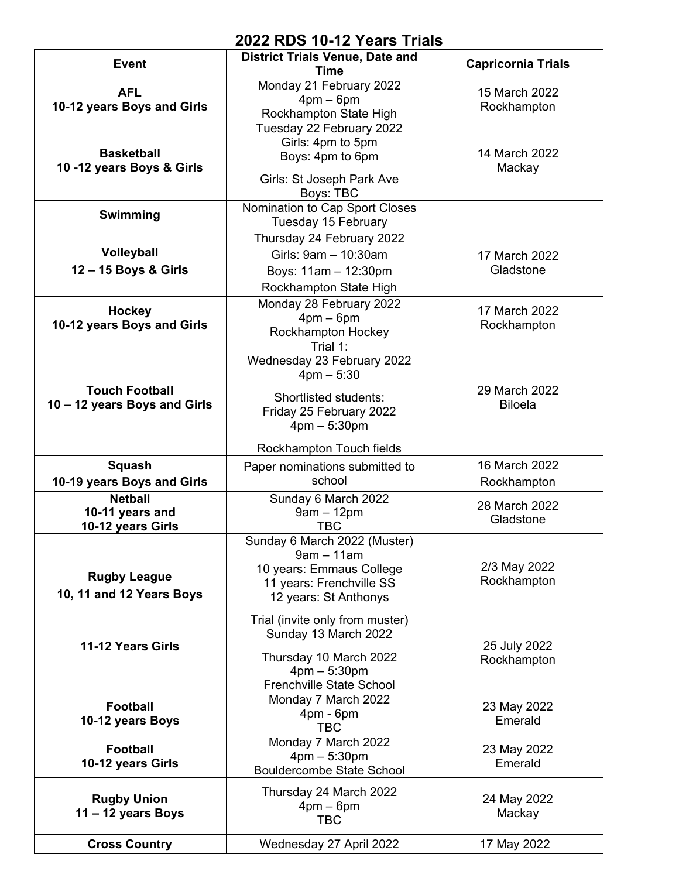## **2022 RDS 10-12 Years Trials**

| <b>Event</b>                                | <b>District Trials Venue, Date and</b>               | <b>Capricornia Trials</b>   |
|---------------------------------------------|------------------------------------------------------|-----------------------------|
|                                             | <b>Time</b>                                          |                             |
| <b>AFL</b>                                  | Monday 21 February 2022                              | 15 March 2022               |
| 10-12 years Boys and Girls                  | $4$ pm $-6$ pm<br>Rockhampton State High             | Rockhampton                 |
|                                             | Tuesday 22 February 2022                             |                             |
|                                             | Girls: 4pm to 5pm                                    |                             |
| <b>Basketball</b>                           | Boys: 4pm to 6pm                                     | 14 March 2022               |
| 10 -12 years Boys & Girls                   | Girls: St Joseph Park Ave                            | Mackay                      |
|                                             | <b>Boys: TBC</b>                                     |                             |
|                                             | Nomination to Cap Sport Closes                       |                             |
| Swimming                                    | Tuesday 15 February                                  |                             |
|                                             | Thursday 24 February 2022                            |                             |
| Volleyball                                  | Girls: 9am - 10:30am                                 | 17 March 2022               |
| 12 - 15 Boys & Girls                        | Boys: 11am - 12:30pm                                 | Gladstone                   |
|                                             | Rockhampton State High                               |                             |
| <b>Hockey</b>                               | Monday 28 February 2022                              | 17 March 2022               |
| 10-12 years Boys and Girls                  | $4$ pm $-6$ pm                                       | Rockhampton                 |
|                                             | Rockhampton Hockey<br>Trial 1:                       |                             |
|                                             | Wednesday 23 February 2022                           |                             |
|                                             | $4pm - 5:30$                                         |                             |
| <b>Touch Football</b>                       | Shortlisted students:                                | 29 March 2022               |
| 10 - 12 years Boys and Girls                | Friday 25 February 2022                              | <b>Biloela</b>              |
|                                             | $4pm - 5:30pm$                                       |                             |
|                                             |                                                      |                             |
|                                             | Rockhampton Touch fields                             | 16 March 2022               |
| <b>Squash</b><br>10-19 years Boys and Girls | Paper nominations submitted to<br>school             | Rockhampton                 |
| <b>Netball</b>                              | Sunday 6 March 2022                                  |                             |
| 10-11 years and                             | $9am - 12pm$                                         | 28 March 2022               |
| 10-12 years Girls                           | <b>TBC</b>                                           | Gladstone                   |
|                                             | Sunday 6 March 2022 (Muster)                         |                             |
|                                             | $9am - 11am$                                         |                             |
| <b>Rugby League</b>                         | 10 years: Emmaus College<br>11 years: Frenchville SS | 2/3 May 2022<br>Rockhampton |
| 10, 11 and 12 Years Boys                    | 12 years: St Anthonys                                |                             |
|                                             |                                                      |                             |
|                                             | Trial (invite only from muster)                      |                             |
| 11-12 Years Girls                           | Sunday 13 March 2022                                 | 25 July 2022                |
|                                             | Thursday 10 March 2022                               | Rockhampton                 |
|                                             | $4pm - 5:30pm$                                       |                             |
|                                             | Frenchville State School<br>Monday 7 March 2022      |                             |
| <b>Football</b>                             | $4pm - 6pm$                                          | 23 May 2022                 |
| 10-12 years Boys                            | <b>TBC</b>                                           | Emerald                     |
| <b>Football</b>                             | Monday 7 March 2022                                  | 23 May 2022                 |
| 10-12 years Girls                           | $4pm - 5:30pm$                                       | Emerald                     |
|                                             | <b>Bouldercombe State School</b>                     |                             |
| <b>Rugby Union</b>                          | Thursday 24 March 2022                               | 24 May 2022                 |
| $11 - 12$ years Boys                        | $4pm-6pm$                                            | Mackay                      |
|                                             | <b>TBC</b>                                           |                             |
| <b>Cross Country</b>                        | Wednesday 27 April 2022                              | 17 May 2022                 |